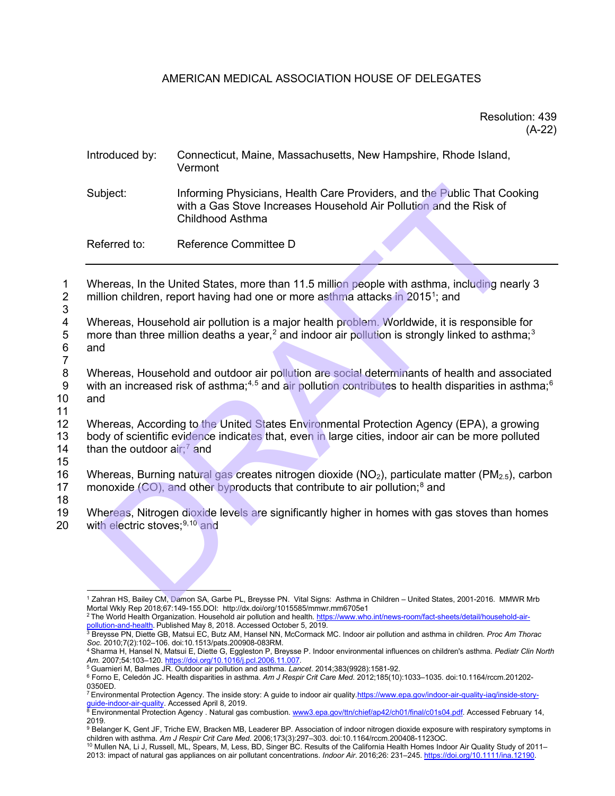## AMERICAN MEDICAL ASSOCIATION HOUSE OF DELEGATES

## Resolution: 439 (A-22)

| Introduced by:                                                                                                                                                                                    | Connecticut, Maine, Massachusetts, New Hampshire, Rhode Island,<br>Vermont                                                                                                                                              |
|---------------------------------------------------------------------------------------------------------------------------------------------------------------------------------------------------|-------------------------------------------------------------------------------------------------------------------------------------------------------------------------------------------------------------------------|
| Subject:                                                                                                                                                                                          | Informing Physicians, Health Care Providers, and the Public That Cooking<br>with a Gas Stove Increases Household Air Pollution and the Risk of<br><b>Childhood Asthma</b>                                               |
| Referred to:                                                                                                                                                                                      | Reference Committee D                                                                                                                                                                                                   |
|                                                                                                                                                                                                   | Whereas, In the United States, more than 11.5 million people with asthma, including nearly 3<br>million children, report having had one or more asthma attacks in 2015 <sup>1</sup> ; and                               |
| and                                                                                                                                                                                               | Whereas, Household air pollution is a major health problem. Worldwide, it is responsible for<br>more than three million deaths a year, <sup>2</sup> and indoor air pollution is strongly linked to asthma; <sup>3</sup> |
| and                                                                                                                                                                                               | Whereas, Household and outdoor air pollution are social determinants of health and associated<br>with an increased risk of asthma; <sup>4,5</sup> and air pollution contributes to health disparities in asthma;        |
| than the outdoor $air;7$ and                                                                                                                                                                      | Whereas, According to the United States Environmental Protection Agency (EPA), a growing<br>body of scientific evidence indicates that, even in large cities, indoor air can be more polluted                           |
| Whereas, Burning natural gas creates nitrogen dioxide ( $NO2$ ), particulate matter ( $PM2.5$ ), carbor<br>monoxide (CO), and other byproducts that contribute to air pollution; <sup>8</sup> and |                                                                                                                                                                                                                         |
| with electric stoves; <sup>9,10</sup> and                                                                                                                                                         | Whereas, Nitrogen dioxide levels are significantly higher in homes with gas stoves than homes                                                                                                                           |
|                                                                                                                                                                                                   | <sup>1</sup> Zahran HS, Bailey CM, Damon SA, Garbe PL, Breysse PN. Vital Signs: Asthma in Children - United States, 2001-2016. MMWR Mrb                                                                                 |

7

8 Whereas, Household and outdoor air pollution are social determinants of health and associated 9 with an increased risk of asthma;<sup>4,5</sup> and air pollution contributes to health disparities in asthma;<sup>[6](#page-0-5)</sup> 10 and and

11

12 Whereas, According to the United States Environmental Protection Agency (EPA), a growing<br>13 Dody of scientific evidence indicates that, even in large cities, indoor air can be more polluted body of scientific evidence indicates that, even in large cities, indoor air can be more polluted

14 than the outdoor air;<sup>7</sup> and

15

16 Whereas, Burning natural gas creates nitrogen dioxide ( $NO<sub>2</sub>$ ), particulate matter ( $PM<sub>2.5</sub>$ ), carbon 17 monoxide (CO), and other byproducts that contribute to air pollution;<sup>8</sup> and

18

19 Whereas, Nitrogen dioxide levels are significantly higher in homes with gas stoves than homes  $20$  with electric stoves:<sup>9,10</sup> and with electric stoves; $9,10$  and

<span id="page-0-1"></span><sup>2</sup> The World Health Organization. Household air pollution and health[. https://www.who.int/news-room/fact-sheets/detail/household-air](https://www.who.int/news-room/fact-sheets/detail/household-air-pollution-and-health)[pollution-and-health.](https://www.who.int/news-room/fact-sheets/detail/household-air-pollution-and-health) Published May 8, 2018. Accessed October 5, 2019.

<span id="page-0-0"></span><sup>1</sup> Zahran HS, Bailey CM, Damon SA, Garbe PL, Breysse PN. Vital Signs: Asthma in Children – United States, 2001-2016. MMWR Mrb Mortal Wkly Rep 2018;67:149-155.DOI: http://dx.doi/org/1015585/mmwr.mm6705e1

<span id="page-0-2"></span><sup>3</sup> Breysse PN, Diette GB, Matsui EC, Butz AM, Hansel NN, McCormack MC. Indoor air pollution and asthma in children. *Proc Am Thorac* 

<span id="page-0-3"></span>*Soc*. 2010;7(2):102–106. doi:10.1513/pats.200908-083RM. 4 Sharma H, Hansel N, Matsui E, Diette G, Eggleston P, Breysse P. Indoor environmental influences on children's asthma. *Pediatr Clin North Am.* 2007;54:103–120. [https://doi.org/10.1016/j.pcl.2006.11.007.](https://doi.org/10.1016/j.pcl.2006.11.007)

<span id="page-0-4"></span><sup>5</sup> Guarnieri M, Balmes JR. Outdoor air pollution and asthma. *Lancet*. 2014;383(9928):1581-92.

<span id="page-0-5"></span><sup>6</sup> Forno E, Celedón JC. Health disparities in asthma. *Am J Respir Crit Care Med*. 2012;185(10):1033–1035. doi:10.1164/rccm.201202-

<span id="page-0-6"></span><sup>&</sup>lt;sup>7</sup> Environmental Protection Agency. The inside story: A guide to indoor air qualit[y.https://www.epa.gov/indoor-air-quality-iaq/inside-story](https://www.epa.gov/indoor-air-quality-iaq/inside-story-guide-indoor-air-quality)[guide-indoor-air-quality.](https://www.epa.gov/indoor-air-quality-iaq/inside-story-guide-indoor-air-quality) Accessed April 8, 2019.<br><sup>8</sup> Environmental Protection Agency . Natural gas combustion[. www3.epa.gov/ttn/chief/ap42/ch01/final/c01s04.pdf.](https://www3.epa.gov/ttn/chief/ap42/ch01/final/c01s04.pdf) Accessed February 14,

<span id="page-0-7"></span><sup>2019.</sup>

<span id="page-0-8"></span><sup>9</sup> Belanger K, Gent JF, Triche EW, Bracken MB, Leaderer BP. Association of indoor nitrogen dioxide exposure with respiratory symptoms in children with asthma. *Am J Respir Crit Care Med*. 2006;173(3):297–303. doi:10.1164/rccm.200408-1123OC.

<span id="page-0-9"></span> $^{10}$  Mullen NA, Li J, Russell, ML, Spears, M, Less, BD, Singer BC. Results of the California Health Homes Indoor Air Quality Study of 2011– 2013: impact of natural gas appliances on air pollutant concentrations. *Indoor Air*. 2016;26: 231–245[. https://doi.org/10.1111/ina.12190.](https://doi.org/10.1111/ina.12190)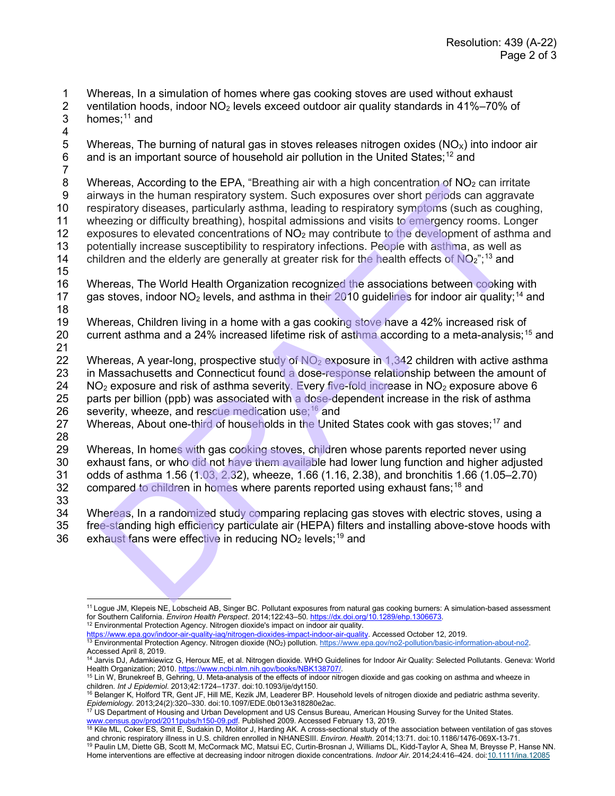- 1 Whereas, In a simulation of homes where gas cooking stoves are used without exhaust 2 ventilation hoods, indoor NO<sub>2</sub> levels exceed outdoor air quality standards in 41%–70% o
- 2 ventilation hoods, indoor  $NO<sub>2</sub>$  levels exceed outdoor air quality standards in 41%–70% of homes:<sup>11</sup> and homes: $11$  and
- 
- 4<br>5 5 Whereas, The burning of natural gas in stoves releases nitrogen oxides ( $NO_x$ ) into indoor air 6 and is an important source of household air pollution in the United States;<sup>12</sup> and and is an important source of household air pollution in the United States;<sup>[12](#page-1-1)</sup> and
- $\frac{7}{8}$

Whereas, According to the EPA, "Breathing air with a high concentration of  $NO<sub>2</sub>$  can irritate 9 airways in the human respiratory system. Such exposures over short periods can aggravate 10 respiratory diseases, particularly asthma, leading to respiratory symptoms (such as coughing, 11 wheezing or difficulty breathing), hospital admissions and visits to emergency rooms. Longer<br>12 exposures to elevated concentrations of NO<sub>2</sub> may contribute to the development of asthma are exposures to elevated concentrations of  $NO<sub>2</sub>$  may contribute to the development of asthma and 13 potentially increase susceptibility to respiratory infections. People with asthma, as well as 14 children and the elderly are generally at greater risk for the health effects of  $NO<sub>2</sub>$ ";<sup>13</sup> and meters, ACColoning to the EF-A, breadium at with a ringin coluctination of two scalin first and the experiently diseases, particularly asthma, leading to respiratory symptoms (such energy and the meaning propriation experi

- 15
- 16 Whereas, The World Health Organization recognized the associations between cooking with 17 gas stoves, indoor  $NO<sub>2</sub>$  levels, and asthma in their 2010 guidelines for indoor air quality;<sup>[14](#page-1-3)</sup> and 18
- 19 Whereas, Children living in a home with a gas cooking stove have a 42% increased risk of 20 current asthma and a 24% increased lifetime risk of asthma according to a meta-analysis;<sup>[15](#page-1-4)</sup> and
- $\frac{21}{22}$ Whereas, A year-long, prospective study of  $NO<sub>2</sub>$  exposure in 1,342 children with active asthma 23 in Massachusetts and Connecticut found a dose-response relationship between the amount of 24  $NO<sub>2</sub>$  exposure and risk of asthma severity. Every five-fold increase in  $NO<sub>2</sub>$  exposure above 6 25 parts per billion (ppb) was associated with a dose-dependent increase in the risk of asthma 26 severity, wheeze, and rescue medication use;  $16$  and
- 27 Whereas, About one-third of households in the United States cook with gas stoves;<sup>17</sup> and
- 28

Whereas, In homes with gas cooking stoves, children whose parents reported never using

30 exhaust fans, or who did not have them available had lower lung function and higher adjusted 31 odds of asthma 1.56 (1.03, 2.32), wheeze, 1.66 (1.16, 2.38), and bronchitis 1.66 (1.05–2.70)

32 compared to children in homes where parents reported using exhaust fans:  $18$  and

33

34 Whereas, In a randomized study comparing replacing gas stoves with electric stoves, using a

35 free-standing high efficiency particulate air (HEPA) filters and installing above-stove hoods with 36 exhaust fans were effective in reducing  $NO<sub>2</sub>$  levels;<sup>19</sup> and

<span id="page-1-1"></span>[https://www.epa.gov/indoor-air-quality-iaq/nitrogen-dioxides-impact-indoor-air-quality.](https://www.epa.gov/indoor-air-quality-iaq/nitrogen-dioxides-impact-indoor-air-quality) Accessed October 12, 2019.

- <sup>13</sup> Environmental Protection Agency. Nitrogen dioxide (NO<sub>2</sub>) pollution[. https://www.epa.gov/no2-pollution/basic-information-about-no2.](https://www.epa.gov/no2-pollution/basic-information-about-no2)
- 

<span id="page-1-0"></span><sup>11</sup> Logue JM, Klepeis NE, Lobscheid AB, Singer BC. Pollutant exposures from natural gas cooking burners: A simulation-based assessment for Southern California. *Environ Health Perspect*. 2014;122:43–50[. https://dx.doi.org/10.1289/ehp.1306673.](https://dx.doi.org/10.1289/ehp.1306673) 12 Environmental Protection Agency. Nitrogen dioxide's impact on indoor air quality.

<span id="page-1-3"></span><span id="page-1-2"></span>Accessed April 8, 2019.<br><sup>14</sup> Jarvis DJ, Adamkiewicz G, Heroux ME, et al. Nitrogen dioxide. WHO Guidelines for Indoor Air Quality: Selected Pollutants. Geneva: World Health Organization; 2010. https://www.ncbi.nlm.nih.gov/books/NBK138707/.<br><sup>15</sup> Lin W, Brunekreef B, Gehring, U. Meta-analysis of the effects of indoor nitrogen dioxide and gas cooking on asthma and wheeze in

<span id="page-1-4"></span>children. *Int J Epidemiol*. 2013;42:1724–1737. doi:10.1093/ije/dyt150.

<span id="page-1-5"></span><sup>&</sup>lt;sup>16</sup> Belanger K, Holford TR, Gent JF, Hill ME, Kezik JM, Leaderer BP. Household levels of nitrogen dioxide and pediatric asthma severity. *Epidemiology.* 2013;24(2):320–330. doi:10.1097/EDE.0b013e318280e2ac.

<span id="page-1-6"></span><sup>&</sup>lt;sup>17</sup> US Department of Housing and Urban Development and US Census Bureau, American Housing Survey for the United States. <u>www.census.gov/prod/2011pubs/h150-09.pdf</u>. Published 2009. Accessed February 13, 2019.<br><sup>18</sup> Kile ML, Coker ES, Smit E, Sudakin D, Molitor J, Harding AK. A cross-sectional study of the association between ventilation of ga

<span id="page-1-8"></span><span id="page-1-7"></span>and chronic respiratory illness in U.S. children enrolled in NHANESIII. *Environ. Health*. 2014;13:71. doi:10.1186/1476-069X-13-71. <sup>19</sup> Paulin LM, Diette GB, Scott M, McCormack MC, Matsui EC, Curtin-Brosnan J, Williams DL, Kidd-Taylor A, Shea M, Breysse P, Hanse NN. Home interventions are effective at decreasing indoor nitrogen dioxide concentrations. *Indoor Air*. 2014;24:416–424. do[i:10.1111/ina.12085](https://doi.org/10.1111/ina.12085)